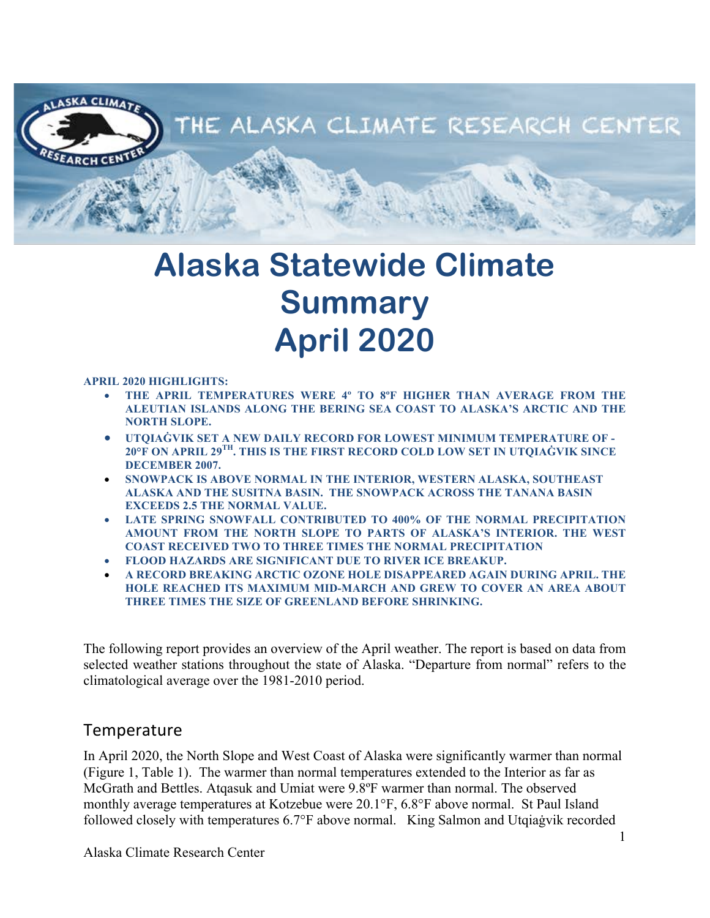

# **Alaska Statewide Climate Summary April 2020**

#### **APRIL 2020 HIGHLIGHTS:**

- **THE APRIL TEMPERATURES WERE 4º TO 8ºF HIGHER THAN AVERAGE FROM THE ALEUTIAN ISLANDS ALONG THE BERING SEA COAST TO ALASKA'S ARCTIC AND THE NORTH SLOPE.**
- **UTQIAĠVIK SET A NEW DAILY RECORD FOR LOWEST MINIMUM TEMPERATURE OF - 20°F ON APRIL 29TH. THIS IS THE FIRST RECORD COLD LOW SET IN UTQIAĠVIK SINCE DECEMBER 2007.**
- **SNOWPACK IS ABOVE NORMAL IN THE INTERIOR, WESTERN ALASKA, SOUTHEAST ALASKA AND THE SUSITNA BASIN. THE SNOWPACK ACROSS THE TANANA BASIN EXCEEDS 2.5 THE NORMAL VALUE.**
- **LATE SPRING SNOWFALL CONTRIBUTED TO 400% OF THE NORMAL PRECIPITATION AMOUNT FROM THE NORTH SLOPE TO PARTS OF ALASKA'S INTERIOR. THE WEST COAST RECEIVED TWO TO THREE TIMES THE NORMAL PRECIPITATION**
- **FLOOD HAZARDS ARE SIGNIFICANT DUE TO RIVER ICE BREAKUP.**
- **A RECORD BREAKING ARCTIC OZONE HOLE DISAPPEARED AGAIN DURING APRIL. THE HOLE REACHED ITS MAXIMUM MID-MARCH AND GREW TO COVER AN AREA ABOUT THREE TIMES THE SIZE OF GREENLAND BEFORE SHRINKING.**

The following report provides an overview of the April weather. The report is based on data from selected weather stations throughout the state of Alaska. "Departure from normal" refers to the climatological average over the 1981-2010 period.

#### **Temperature**

In April 2020, the North Slope and West Coast of Alaska were significantly warmer than normal (Figure 1, Table 1). The warmer than normal temperatures extended to the Interior as far as McGrath and Bettles. Atqasuk and Umiat were 9.8ºF warmer than normal. The observed monthly average temperatures at Kotzebue were 20.1°F, 6.8°F above normal. St Paul Island followed closely with temperatures 6.7°F above normal. King Salmon and Utqiaġvik recorded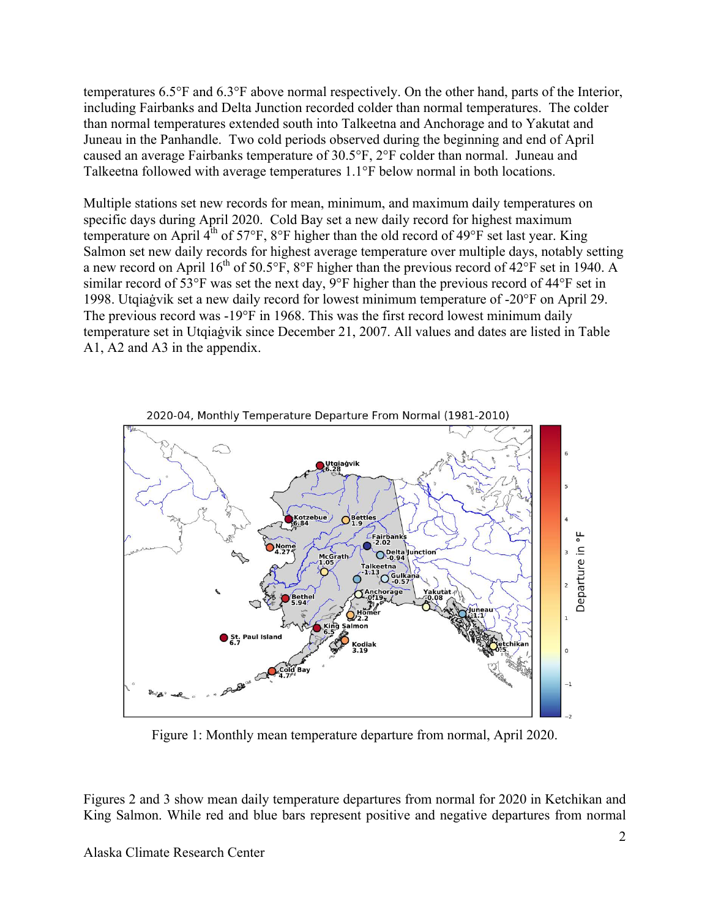temperatures 6.5°F and 6.3°F above normal respectively. On the other hand, parts of the Interior, including Fairbanks and Delta Junction recorded colder than normal temperatures. The colder than normal temperatures extended south into Talkeetna and Anchorage and to Yakutat and Juneau in the Panhandle. Two cold periods observed during the beginning and end of April caused an average Fairbanks temperature of 30.5°F, 2°F colder than normal. Juneau and Talkeetna followed with average temperatures 1.1°F below normal in both locations.

Multiple stations set new records for mean, minimum, and maximum daily temperatures on specific days during April 2020. Cold Bay set a new daily record for highest maximum temperature on April  $4^{th}$  of 57°F, 8°F higher than the old record of 49°F set last year. King Salmon set new daily records for highest average temperature over multiple days, notably setting a new record on April  $16^{th}$  of 50.5°F, 8°F higher than the previous record of 42°F set in 1940. A similar record of 53°F was set the next day, 9°F higher than the previous record of 44°F set in 1998. Utqiaġvik set a new daily record for lowest minimum temperature of -20°F on April 29. The previous record was -19°F in 1968. This was the first record lowest minimum daily temperature set in Utqiaġvik since December 21, 2007. All values and dates are listed in Table A1, A2 and A3 in the appendix.



Figure 1: Monthly mean temperature departure from normal, April 2020.

Figures 2 and 3 show mean daily temperature departures from normal for 2020 in Ketchikan and King Salmon. While red and blue bars represent positive and negative departures from normal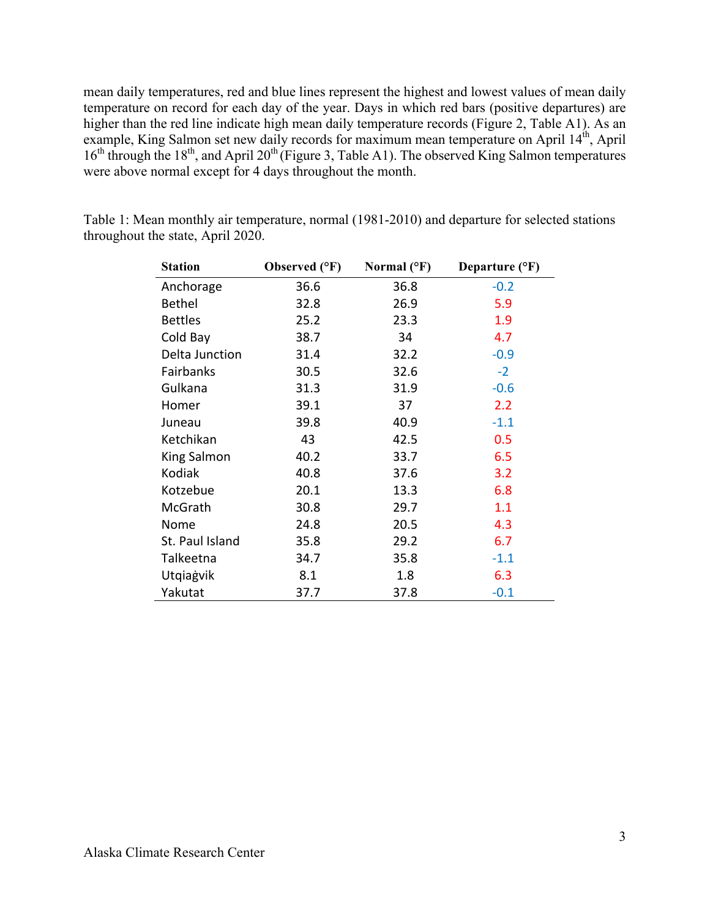mean daily temperatures, red and blue lines represent the highest and lowest values of mean daily temperature on record for each day of the year. Days in which red bars (positive departures) are higher than the red line indicate high mean daily temperature records (Figure 2, Table A1). As an example, King Salmon set new daily records for maximum mean temperature on April 14<sup>th</sup>, April 16<sup>th</sup> through the 18<sup>th</sup>, and April 20<sup>th</sup> (Figure 3, Table A1). The observed King Salmon temperatures were above normal except for 4 days throughout the month.

| <b>Station</b>  | Observed (°F) | Normal $(^{\circ}F)$ | Departure $(^{\circ}F)$ |
|-----------------|---------------|----------------------|-------------------------|
| Anchorage       | 36.6          | 36.8                 | $-0.2$                  |
| <b>Bethel</b>   | 32.8          | 26.9                 | 5.9                     |
| <b>Bettles</b>  | 25.2          | 23.3                 | 1.9                     |
| Cold Bay        | 38.7          | 34                   | 4.7                     |
| Delta Junction  | 31.4          | 32.2                 | $-0.9$                  |
| Fairbanks       | 30.5          | 32.6                 | $-2$                    |
| Gulkana         | 31.3          | 31.9                 | $-0.6$                  |
| Homer           | 39.1          | 37                   | 2.2                     |
| Juneau          | 39.8          | 40.9                 | $-1.1$                  |
| Ketchikan       | 43            | 42.5                 | 0.5                     |
| King Salmon     | 40.2          | 33.7                 | 6.5                     |
| Kodiak          | 40.8          | 37.6                 | 3.2                     |
| Kotzebue        | 20.1          | 13.3                 | 6.8                     |
| McGrath         | 30.8          | 29.7                 | 1.1                     |
| Nome            | 24.8          | 20.5                 | 4.3                     |
| St. Paul Island | 35.8          | 29.2                 | 6.7                     |
| Talkeetna       | 34.7          | 35.8                 | $-1.1$                  |
| Utqiagvik       | 8.1           | 1.8                  | 6.3                     |
| Yakutat         | 37.7          | 37.8                 | $-0.1$                  |

Table 1: Mean monthly air temperature, normal (1981-2010) and departure for selected stations throughout the state, April 2020.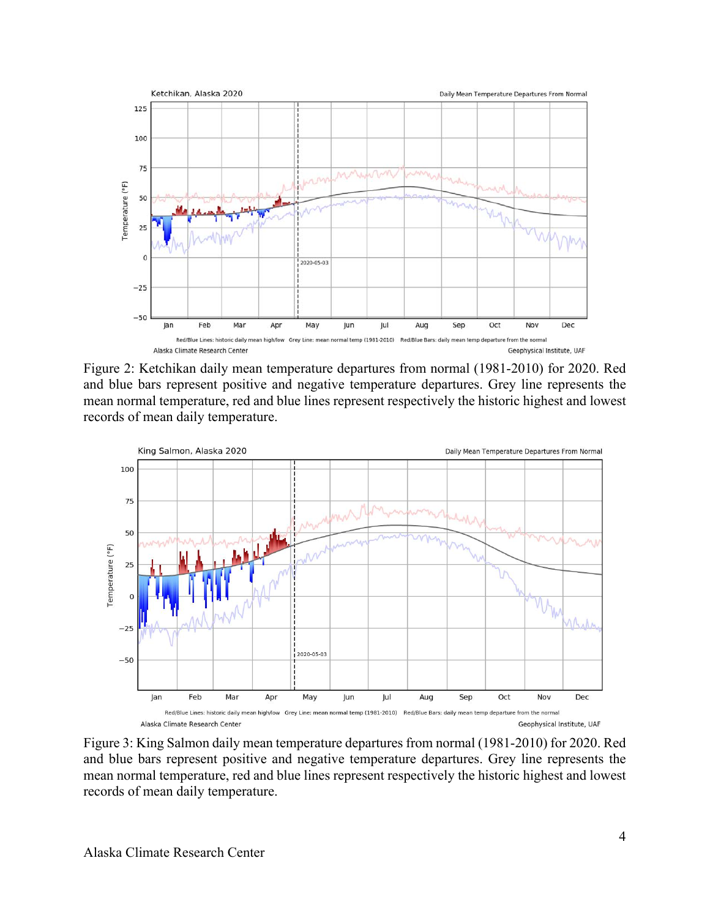

Figure 2: Ketchikan daily mean temperature departures from normal (1981-2010) for 2020. Red and blue bars represent positive and negative temperature departures. Grey line represents the mean normal temperature, red and blue lines represent respectively the historic highest and lowest records of mean daily temperature.



Figure 3: King Salmon daily mean temperature departures from normal (1981-2010) for 2020. Red and blue bars represent positive and negative temperature departures. Grey line represents the mean normal temperature, red and blue lines represent respectively the historic highest and lowest records of mean daily temperature.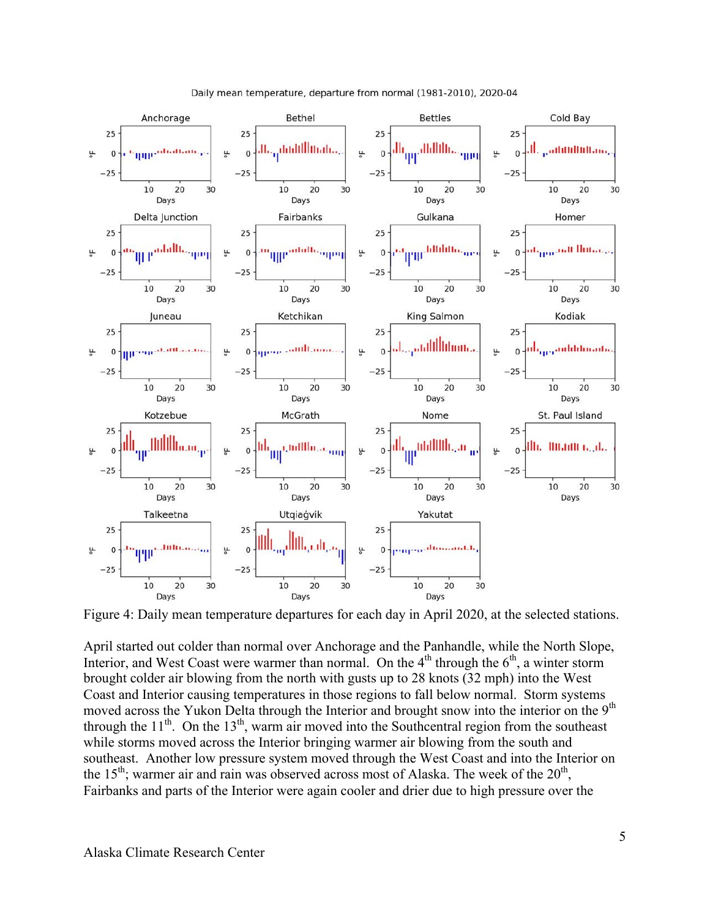

Daily mean temperature, departure from normal (1981-2010), 2020-04

Figure 4: Daily mean temperature departures for each day in April 2020, at the selected stations.

April started out colder than normal over Anchorage and the Panhandle, while the North Slope, Interior, and West Coast were warmer than normal. On the  $4<sup>th</sup>$  through the  $6<sup>th</sup>$ , a winter storm brought colder air blowing from the north with gusts up to 28 knots (32 mph) into the West Coast and Interior causing temperatures in those regions to fall below normal. Storm systems moved across the Yukon Delta through the Interior and brought snow into the interior on the  $9<sup>th</sup>$ through the  $11<sup>th</sup>$ . On the  $13<sup>th</sup>$ , warm air moved into the Southcentral region from the southeast while storms moved across the Interior bringing warmer air blowing from the south and southeast. Another low pressure system moved through the West Coast and into the Interior on the 15<sup>th</sup>; warmer air and rain was observed across most of Alaska. The week of the  $20<sup>th</sup>$ , Fairbanks and parts of the Interior were again cooler and drier due to high pressure over the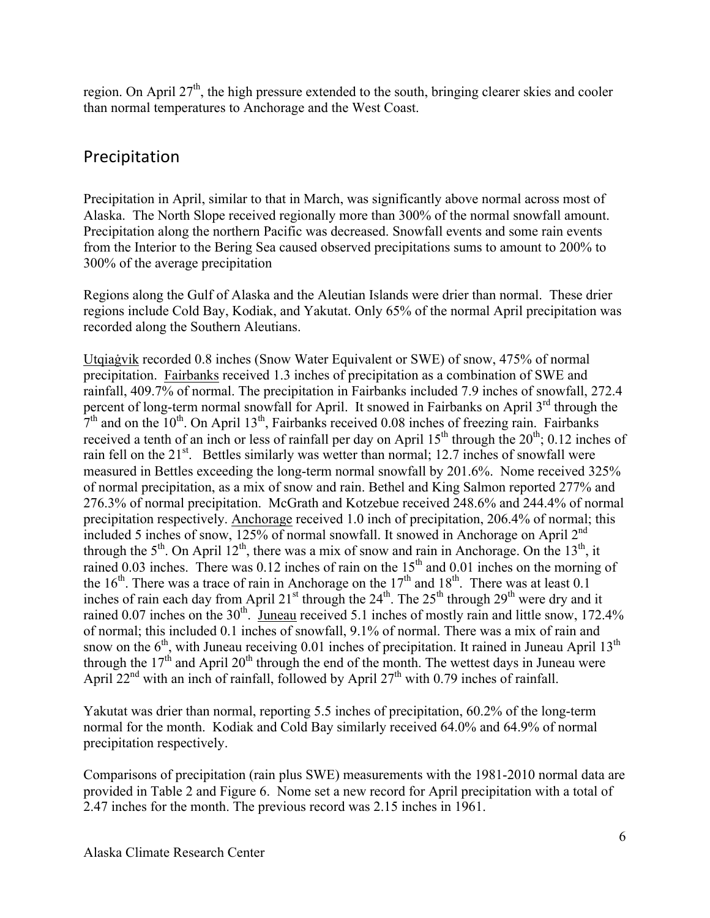region. On April 27<sup>th</sup>, the high pressure extended to the south, bringing clearer skies and cooler than normal temperatures to Anchorage and the West Coast.

#### Precipitation

Precipitation in April, similar to that in March, was significantly above normal across most of Alaska. The North Slope received regionally more than 300% of the normal snowfall amount. Precipitation along the northern Pacific was decreased. Snowfall events and some rain events from the Interior to the Bering Sea caused observed precipitations sums to amount to 200% to 300% of the average precipitation

Regions along the Gulf of Alaska and the Aleutian Islands were drier than normal. These drier regions include Cold Bay, Kodiak, and Yakutat. Only 65% of the normal April precipitation was recorded along the Southern Aleutians.

Utqiaġvik recorded 0.8 inches (Snow Water Equivalent or SWE) of snow, 475% of normal precipitation. Fairbanks received 1.3 inches of precipitation as a combination of SWE and rainfall, 409.7% of normal. The precipitation in Fairbanks included 7.9 inches of snowfall, 272.4 percent of long-term normal snowfall for April. It snowed in Fairbanks on April 3<sup>rd</sup> through the  $7<sup>th</sup>$  and on the 10<sup>th</sup>. On April 13<sup>th</sup>, Fairbanks received 0.08 inches of freezing rain. Fairbanks received a tenth of an inch or less of rainfall per day on April  $15<sup>th</sup>$  through the  $20<sup>th</sup>$ ; 0.12 inches of rain fell on the 21<sup>st</sup>. Bettles similarly was wetter than normal; 12.7 inches of snowfall were measured in Bettles exceeding the long-term normal snowfall by 201.6%. Nome received 325% of normal precipitation, as a mix of snow and rain. Bethel and King Salmon reported 277% and 276.3% of normal precipitation. McGrath and Kotzebue received 248.6% and 244.4% of normal precipitation respectively. Anchorage received 1.0 inch of precipitation, 206.4% of normal; this included 5 inches of snow, 125% of normal snowfall. It snowed in Anchorage on April  $2<sup>nd</sup>$ through the  $5<sup>th</sup>$ . On April 12<sup>th</sup>, there was a mix of snow and rain in Anchorage. On the 13<sup>th</sup>, it rained 0.03 inches. There was 0.12 inches of rain on the  $15<sup>th</sup>$  and 0.01 inches on the morning of the 16<sup>th</sup>. There was a trace of rain in Anchorage on the  $17<sup>th</sup>$  and  $18<sup>th</sup>$ . There was at least 0.1 inches of rain each day from April  $21^{st}$  through the  $24^{th}$ . The  $25^{th}$  through  $29^{th}$  were dry and it rained 0.07 inches on the 30<sup>th</sup>. Juneau received 5.1 inches of mostly rain and little snow, 172.4% of normal; this included 0.1 inches of snowfall, 9.1% of normal. There was a mix of rain and snow on the  $6<sup>th</sup>$ , with Juneau receiving 0.01 inches of precipitation. It rained in Juneau April 13<sup>th</sup> through the  $17<sup>th</sup>$  and April 20<sup>th</sup> through the end of the month. The wettest days in Juneau were April  $22<sup>nd</sup>$  with an inch of rainfall, followed by April  $27<sup>th</sup>$  with 0.79 inches of rainfall.

Yakutat was drier than normal, reporting 5.5 inches of precipitation, 60.2% of the long-term normal for the month. Kodiak and Cold Bay similarly received 64.0% and 64.9% of normal precipitation respectively.

Comparisons of precipitation (rain plus SWE) measurements with the 1981-2010 normal data are provided in Table 2 and Figure 6. Nome set a new record for April precipitation with a total of 2.47 inches for the month. The previous record was 2.15 inches in 1961.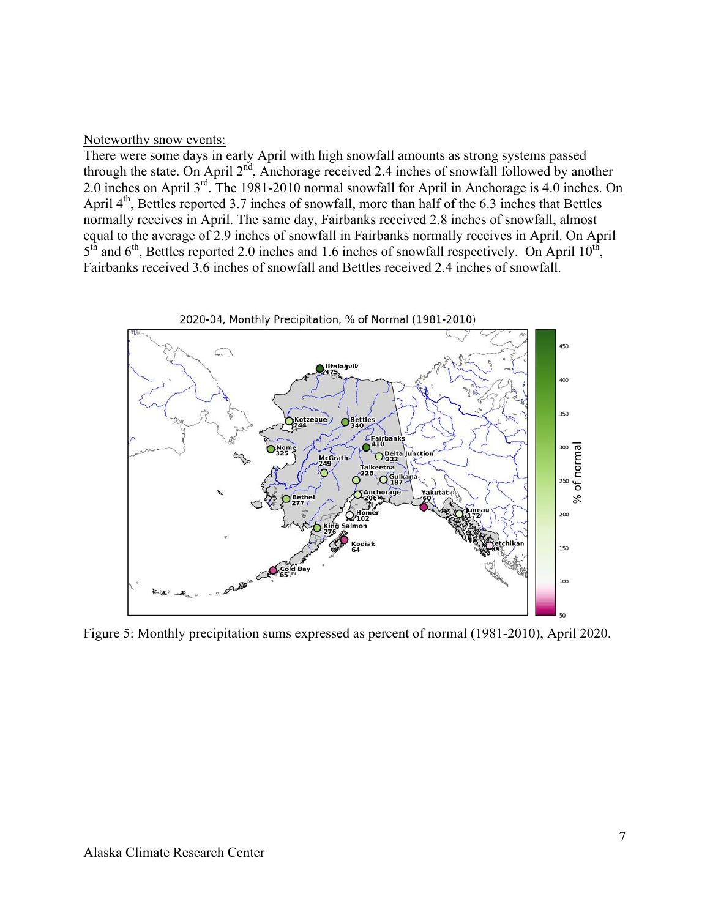#### Noteworthy snow events:

There were some days in early April with high snowfall amounts as strong systems passed through the state. On April 2<sup>nd</sup>, Anchorage received 2.4 inches of snowfall followed by another 2.0 inches on April 3rd. The 1981-2010 normal snowfall for April in Anchorage is 4.0 inches. On April  $4<sup>th</sup>$ , Bettles reported 3.7 inches of snowfall, more than half of the 6.3 inches that Bettles normally receives in April. The same day, Fairbanks received 2.8 inches of snowfall, almost equal to the average of 2.9 inches of snowfall in Fairbanks normally receives in April. On April  $5<sup>th</sup>$  and  $6<sup>th</sup>$ , Bettles reported 2.0 inches and 1.6 inches of snowfall respectively. On April 10<sup>th</sup>, Fairbanks received 3.6 inches of snowfall and Bettles received 2.4 inches of snowfall.



Figure 5: Monthly precipitation sums expressed as percent of normal (1981-2010), April 2020.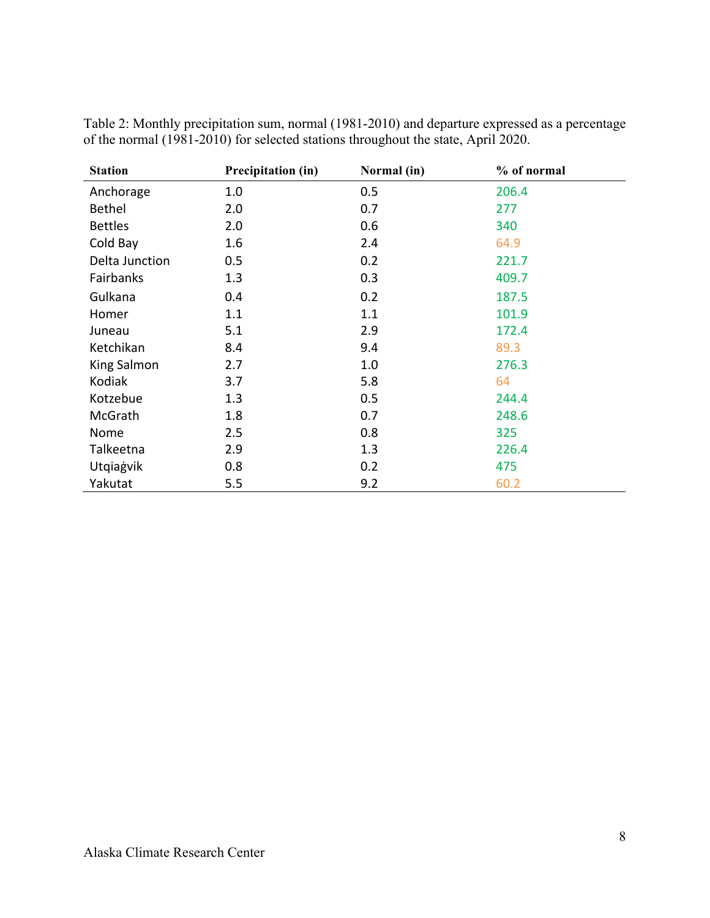| <b>Station</b> | Precipitation (in) | Normal (in) | % of normal |
|----------------|--------------------|-------------|-------------|
| Anchorage      | 1.0                | 0.5         | 206.4       |
| <b>Bethel</b>  | 2.0                | 0.7         | 277         |
| <b>Bettles</b> | 2.0                | 0.6         | 340         |
| Cold Bay       | 1.6                | 2.4         | 64.9        |
| Delta Junction | 0.5                | 0.2         | 221.7       |
| Fairbanks      | 1.3                | 0.3         | 409.7       |
| Gulkana        | 0.4                | 0.2         | 187.5       |
| Homer          | 1.1                | 1.1         | 101.9       |
| Juneau         | 5.1                | 2.9         | 172.4       |
| Ketchikan      | 8.4                | 9.4         | 89.3        |
| King Salmon    | 2.7                | 1.0         | 276.3       |
| Kodiak         | 3.7                | 5.8         | 64          |
| Kotzebue       | 1.3                | 0.5         | 244.4       |
| McGrath        | 1.8                | 0.7         | 248.6       |
| Nome           | 2.5                | 0.8         | 325         |
| Talkeetna      | 2.9                | 1.3         | 226.4       |
| Utqiagvik      | 0.8                | 0.2         | 475         |
| Yakutat        | 5.5                | 9.2         | 60.2        |

Table 2: Monthly precipitation sum, normal (1981-2010) and departure expressed as a percentage of the normal (1981-2010) for selected stations throughout the state, April 2020.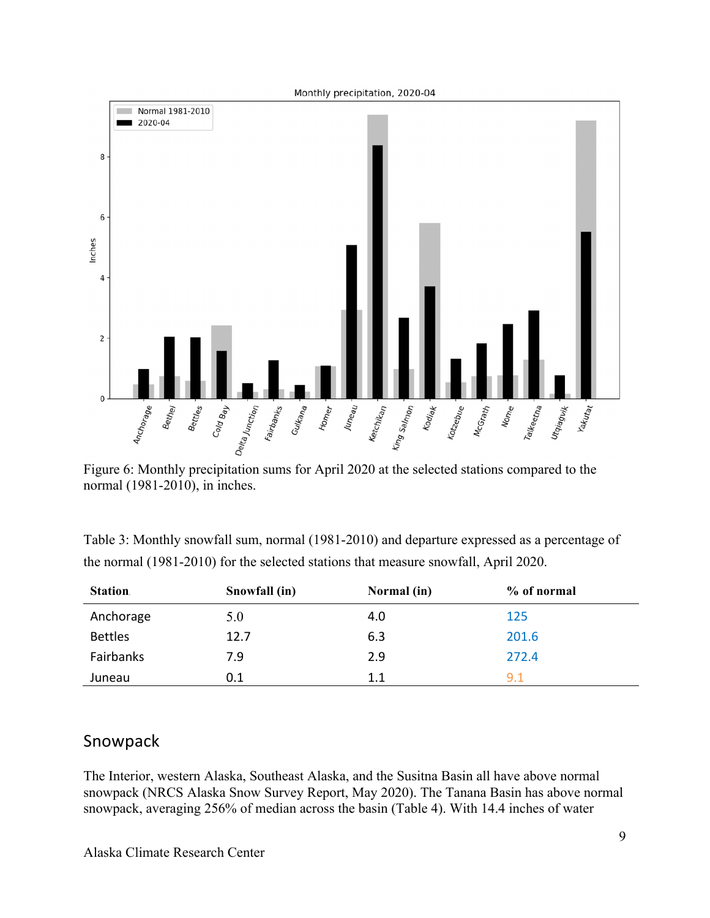

Figure 6: Monthly precipitation sums for April 2020 at the selected stations compared to the normal (1981-2010), in inches.

| <b>Station</b> | Snowfall (in) | Normal (in) | % of normal |
|----------------|---------------|-------------|-------------|
| Anchorage      | 5.0           | 4.0         | 125         |
| <b>Bettles</b> | 12.7          | 6.3         | 201.6       |
| Fairbanks      | 7.9           | 2.9         | 272.4       |
| Juneau         | 0.1           | 1.1         | 9.1         |

| Table 3: Monthly snowfall sum, normal (1981-2010) and departure expressed as a percentage of |
|----------------------------------------------------------------------------------------------|
| the normal (1981-2010) for the selected stations that measure snowfall, April 2020.          |

## Snowpack

The Interior, western Alaska, Southeast Alaska, and the Susitna Basin all have above normal snowpack (NRCS Alaska Snow Survey Report, May 2020). The Tanana Basin has above normal snowpack, averaging 256% of median across the basin (Table 4). With 14.4 inches of water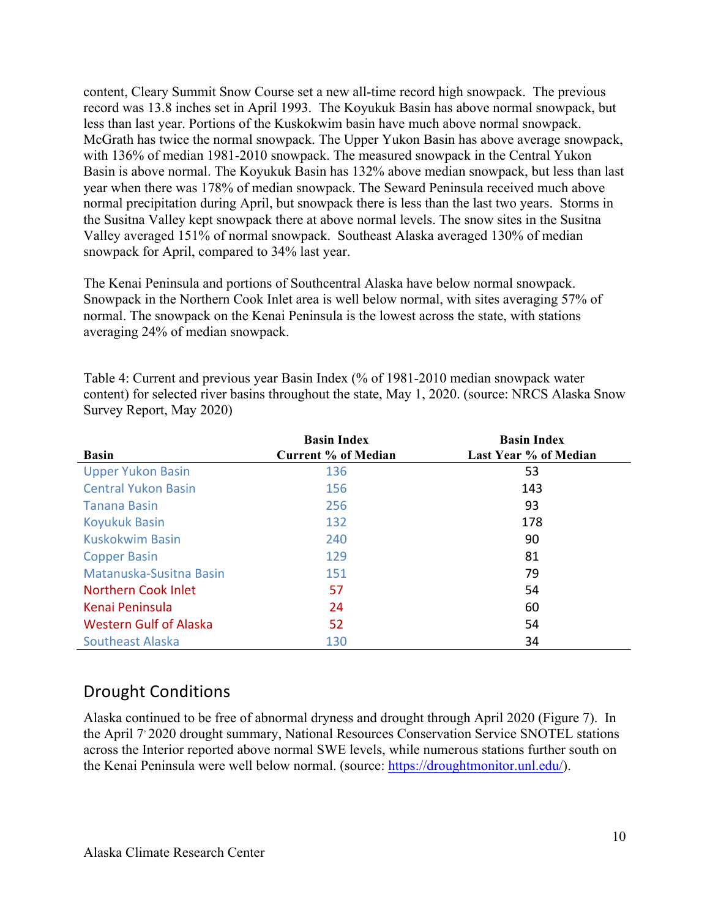content, Cleary Summit Snow Course set a new all-time record high snowpack. The previous record was 13.8 inches set in April 1993. The Koyukuk Basin has above normal snowpack, but less than last year. Portions of the Kuskokwim basin have much above normal snowpack. McGrath has twice the normal snowpack. The Upper Yukon Basin has above average snowpack, with 136% of median 1981-2010 snowpack. The measured snowpack in the Central Yukon Basin is above normal. The Koyukuk Basin has 132% above median snowpack, but less than last year when there was 178% of median snowpack. The Seward Peninsula received much above normal precipitation during April, but snowpack there is less than the last two years. Storms in the Susitna Valley kept snowpack there at above normal levels. The snow sites in the Susitna Valley averaged 151% of normal snowpack. Southeast Alaska averaged 130% of median snowpack for April, compared to 34% last year.

The Kenai Peninsula and portions of Southcentral Alaska have below normal snowpack. Snowpack in the Northern Cook Inlet area is well below normal, with sites averaging 57% of normal. The snowpack on the Kenai Peninsula is the lowest across the state, with stations averaging 24% of median snowpack.

|                               | <b>Basin Index</b>         | <b>Basin Index</b>    |
|-------------------------------|----------------------------|-----------------------|
| <b>Basin</b>                  | <b>Current % of Median</b> | Last Year % of Median |
| <b>Upper Yukon Basin</b>      | 136                        | 53                    |
| <b>Central Yukon Basin</b>    | 156                        | 143                   |
| Tanana Basin                  | 256                        | 93                    |
| <b>Koyukuk Basin</b>          | 132                        | 178                   |
| Kuskokwim Basin               | 240                        | 90                    |
| <b>Copper Basin</b>           | 129                        | 81                    |
| Matanuska-Susitna Basin       | 151                        | 79                    |
| <b>Northern Cook Inlet</b>    | 57                         | 54                    |
| Kenai Peninsula               | 24                         | 60                    |
| <b>Western Gulf of Alaska</b> | 52                         | 54                    |
| <b>Southeast Alaska</b>       | 130                        | 34                    |

Table 4: Current and previous year Basin Index (% of 1981-2010 median snowpack water content) for selected river basins throughout the state, May 1, 2020. (source: NRCS Alaska Snow Survey Report, May 2020)

#### Drought Conditions

Alaska continued to be free of abnormal dryness and drought through April 2020 (Figure 7). In the April 7, 2020 drought summary, National Resources Conservation Service SNOTEL stations across the Interior reported above normal SWE levels, while numerous stations further south on the Kenai Peninsula were well below normal. (source: https://droughtmonitor.unl.edu/).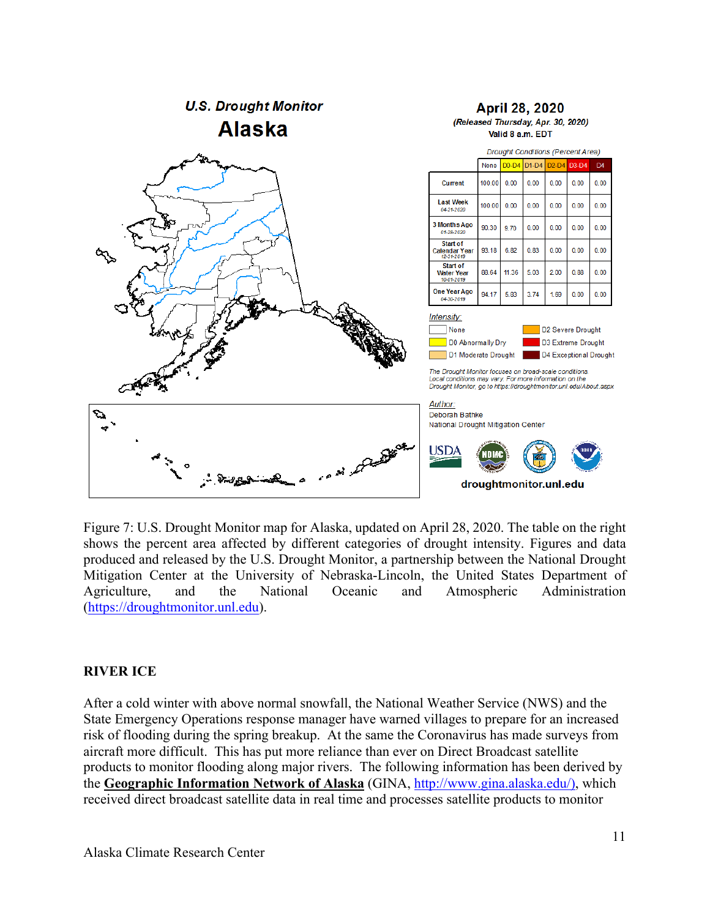

Figure 7: U.S. Drought Monitor map for Alaska, updated on April 28, 2020. The table on the right shows the percent area affected by different categories of drought intensity. Figures and data produced and released by the U.S. Drought Monitor, a partnership between the National Drought Mitigation Center at the University of Nebraska-Lincoln, the United States Department of Agriculture, and the National Oceanic and Atmospheric Administration (https://droughtmonitor.unl.edu).

#### **RIVER ICE**

After a cold winter with above normal snowfall, the National Weather Service (NWS) and the State Emergency Operations response manager have warned villages to prepare for an increased risk of flooding during the spring breakup. At the same the Coronavirus has made surveys from aircraft more difficult. This has put more reliance than ever on Direct Broadcast satellite products to monitor flooding along major rivers. The following information has been derived by the **Geographic Information Network of Alaska** (GINA, http://www.gina.alaska.edu/), which received direct broadcast satellite data in real time and processes satellite products to monitor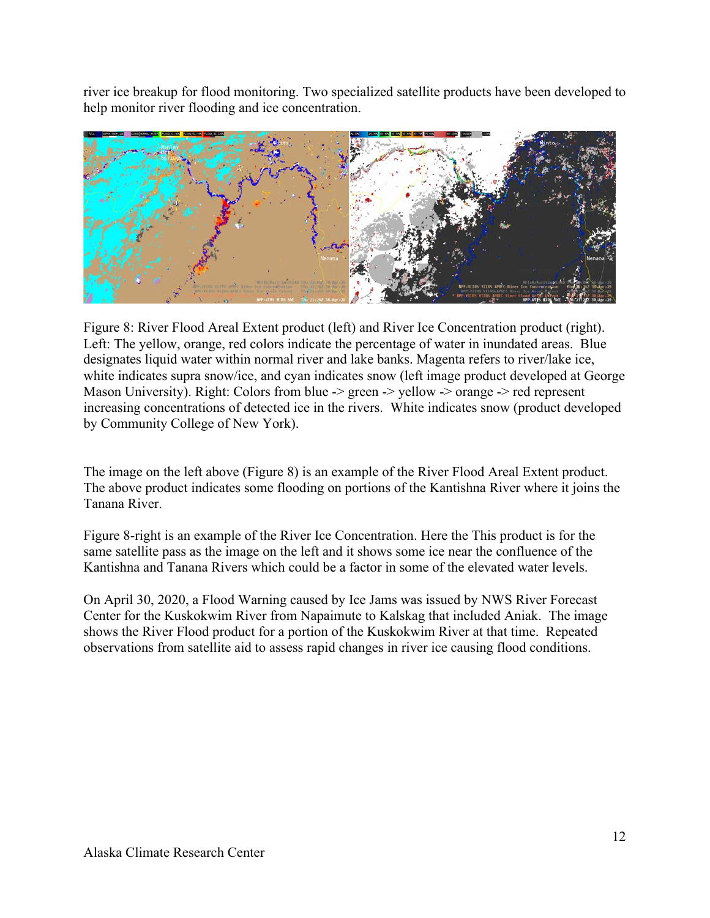river ice breakup for flood monitoring. Two specialized satellite products have been developed to help monitor river flooding and ice concentration.



Figure 8: River Flood Areal Extent product (left) and River Ice Concentration product (right). Left: The yellow, orange, red colors indicate the percentage of water in inundated areas. Blue designates liquid water within normal river and lake banks. Magenta refers to river/lake ice, white indicates supra snow/ice, and cyan indicates snow (left image product developed at George Mason University). Right: Colors from blue -> green -> yellow -> orange -> red represent increasing concentrations of detected ice in the rivers. White indicates snow (product developed by Community College of New York).

The image on the left above (Figure 8) is an example of the River Flood Areal Extent product. The above product indicates some flooding on portions of the Kantishna River where it joins the Tanana River.

Figure 8-right is an example of the River Ice Concentration. Here the This product is for the same satellite pass as the image on the left and it shows some ice near the confluence of the Kantishna and Tanana Rivers which could be a factor in some of the elevated water levels.

On April 30, 2020, a Flood Warning caused by Ice Jams was issued by NWS River Forecast Center for the Kuskokwim River from Napaimute to Kalskag that included Aniak. The image shows the River Flood product for a portion of the Kuskokwim River at that time. Repeated observations from satellite aid to assess rapid changes in river ice causing flood conditions.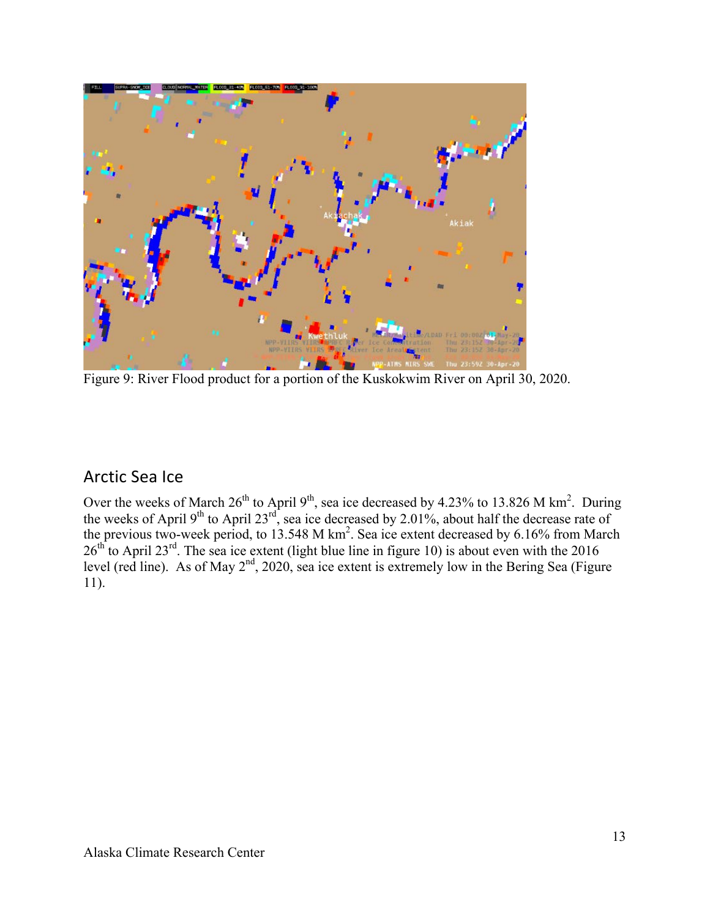

Figure 9: River Flood product for a portion of the Kuskokwim River on April 30, 2020.

## Arctic Sea Ice

Over the weeks of March  $26^{th}$  to April 9<sup>th</sup>, sea ice decreased by 4.23% to 13.826 M km<sup>2</sup>. During the weeks of April 9<sup>th</sup> to April 23<sup>rd</sup>, sea ice decreased by 2.01%, about half the decrease rate of the previous two-week period, to  $13.548$  M km<sup>2</sup>. Sea ice extent decreased by 6.16% from March  $26<sup>th</sup>$  to April 23<sup>rd</sup>. The sea ice extent (light blue line in figure 10) is about even with the 2016 level (red line). As of May  $2<sup>nd</sup>$ , 2020, sea ice extent is extremely low in the Bering Sea (Figure 11).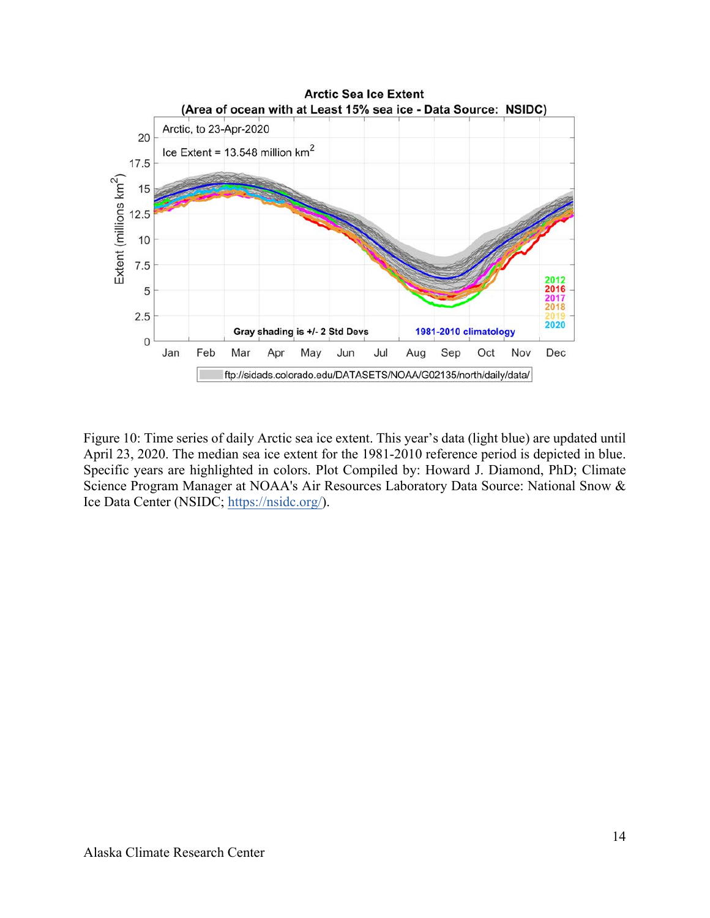

Figure 10: Time series of daily Arctic sea ice extent. This year's data (light blue) are updated until April 23, 2020. The median sea ice extent for the 1981-2010 reference period is depicted in blue. Specific years are highlighted in colors. Plot Compiled by: Howard J. Diamond, PhD; Climate Science Program Manager at NOAA's Air Resources Laboratory Data Source: National Snow & Ice Data Center (NSIDC; https://nsidc.org/).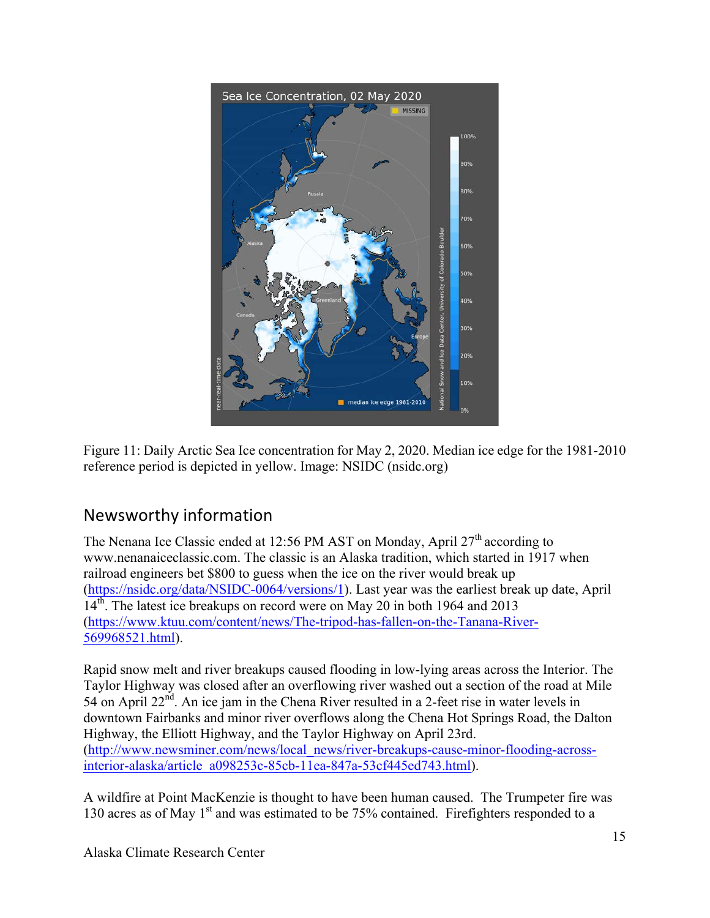

Figure 11: Daily Arctic Sea Ice concentration for May 2, 2020. Median ice edge for the 1981-2010 reference period is depicted in yellow. Image: NSIDC (nsidc.org)

## Newsworthy information

The Nenana Ice Classic ended at 12:56 PM AST on Monday, April  $27<sup>th</sup>$  according to www.nenanaiceclassic.com. The classic is an Alaska tradition, which started in 1917 when railroad engineers bet \$800 to guess when the ice on the river would break up (https://nsidc.org/data/NSIDC-0064/versions/1). Last year was the earliest break up date, April 14<sup>th</sup>. The latest ice breakups on record were on May 20 in both 1964 and 2013 (https://www.ktuu.com/content/news/The-tripod-has-fallen-on-the-Tanana-River-569968521.html).

Rapid snow melt and river breakups caused flooding in low-lying areas across the Interior. The Taylor Highway was closed after an overflowing river washed out a section of the road at Mile 54 on April  $22<sup>nd</sup>$ . An ice jam in the Chena River resulted in a 2-feet rise in water levels in downtown Fairbanks and minor river overflows along the Chena Hot Springs Road, the Dalton Highway, the Elliott Highway, and the Taylor Highway on April 23rd. (http://www.newsminer.com/news/local\_news/river-breakups-cause-minor-flooding-acrossinterior-alaska/article\_a098253c-85cb-11ea-847a-53cf445ed743.html).

A wildfire at Point MacKenzie is thought to have been human caused. The Trumpeter fire was 130 acres as of May  $1<sup>st</sup>$  and was estimated to be 75% contained. Firefighters responded to a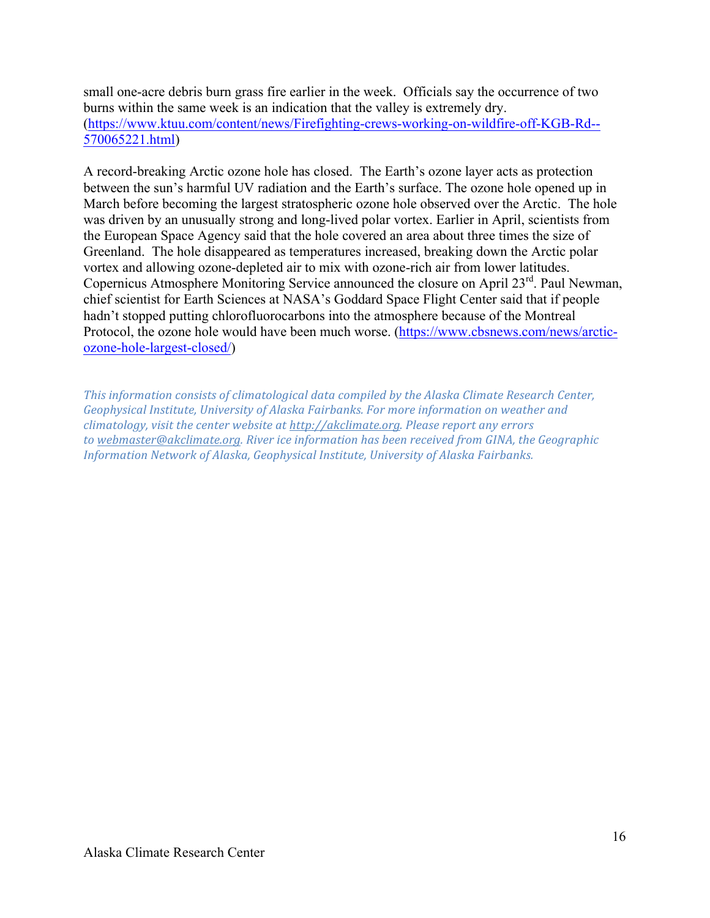small one-acre debris burn grass fire earlier in the week. Officials say the occurrence of two burns within the same week is an indication that the valley is extremely dry. (https://www.ktuu.com/content/news/Firefighting-crews-working-on-wildfire-off-KGB-Rd-- 570065221.html)

A record-breaking Arctic ozone hole has closed. The Earth's ozone layer acts as protection between the sun's harmful UV radiation and the Earth's surface. The ozone hole opened up in March before becoming the largest stratospheric ozone hole observed over the Arctic. The hole was driven by an unusually strong and long-lived polar vortex. Earlier in April, scientists from the European Space Agency said that the hole covered an area about three times the size of Greenland. The hole disappeared as temperatures increased, breaking down the Arctic polar vortex and allowing ozone-depleted air to mix with ozone-rich air from lower latitudes. Copernicus Atmosphere Monitoring Service announced the closure on April 23<sup>rd</sup>. Paul Newman, chief scientist for Earth Sciences at NASA's Goddard Space Flight Center said that if people hadn't stopped putting chlorofluorocarbons into the atmosphere because of the Montreal Protocol, the ozone hole would have been much worse. (https://www.cbsnews.com/news/arcticozone-hole-largest-closed/)

*This information consists of climatological data compiled by the Alaska Climate Research Center, Geophysical Institute, University of Alaska Fairbanks. For more information on weather and climatology, visit the center website at http://akclimate.org. Please report any errors* to webmaster@akclimate.org. River ice information has been received from GINA, the Geographic *Information Network of Alaska, Geophysical Institute, University of Alaska Fairbanks.*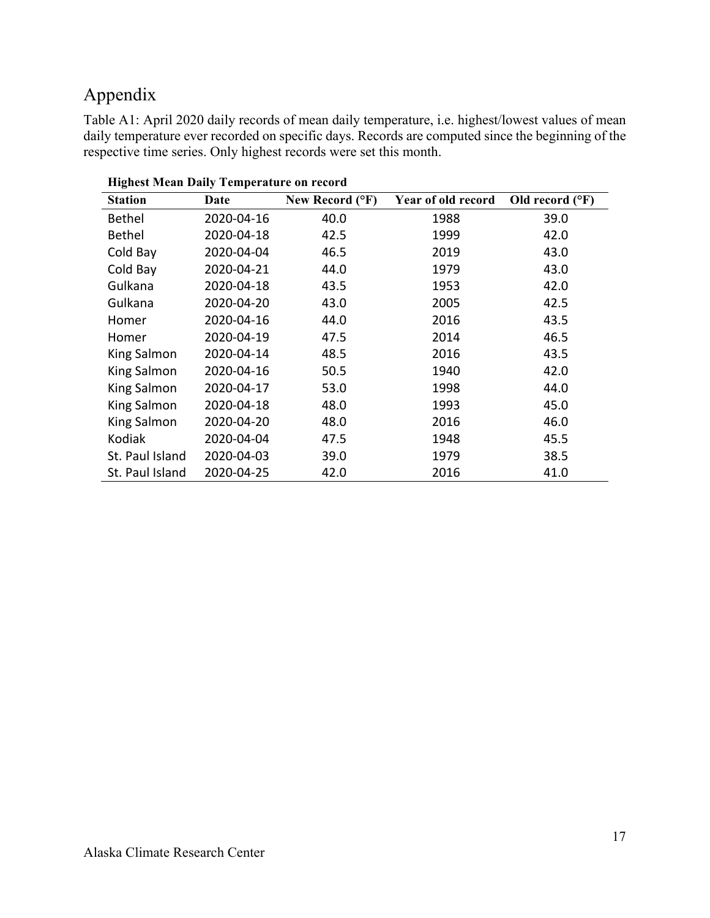## Appendix

Table A1: April 2020 daily records of mean daily temperature, i.e. highest/lowest values of mean daily temperature ever recorded on specific days. Records are computed since the beginning of the respective time series. Only highest records were set this month.

| <b>Station</b>     | Date       | New Record (°F) | Year of old record | Old record $(^{\circ}F)$ |
|--------------------|------------|-----------------|--------------------|--------------------------|
| <b>Bethel</b>      | 2020-04-16 | 40.0            | 1988               | 39.0                     |
| <b>Bethel</b>      | 2020-04-18 | 42.5            | 1999               | 42.0                     |
| Cold Bay           | 2020-04-04 | 46.5            | 2019               | 43.0                     |
| Cold Bay           | 2020-04-21 | 44.0            | 1979               | 43.0                     |
| Gulkana            | 2020-04-18 | 43.5            | 1953               | 42.0                     |
| Gulkana            | 2020-04-20 | 43.0            | 2005               | 42.5                     |
| Homer              | 2020-04-16 | 44.0            | 2016               | 43.5                     |
| Homer              | 2020-04-19 | 47.5            | 2014               | 46.5                     |
| King Salmon        | 2020-04-14 | 48.5            | 2016               | 43.5                     |
| <b>King Salmon</b> | 2020-04-16 | 50.5            | 1940               | 42.0                     |
| <b>King Salmon</b> | 2020-04-17 | 53.0            | 1998               | 44.0                     |
| <b>King Salmon</b> | 2020-04-18 | 48.0            | 1993               | 45.0                     |
| <b>King Salmon</b> | 2020-04-20 | 48.0            | 2016               | 46.0                     |
| Kodiak             | 2020-04-04 | 47.5            | 1948               | 45.5                     |
| St. Paul Island    | 2020-04-03 | 39.0            | 1979               | 38.5                     |
| St. Paul Island    | 2020-04-25 | 42.0            | 2016               | 41.0                     |

**Highest Mean Daily Temperature on record**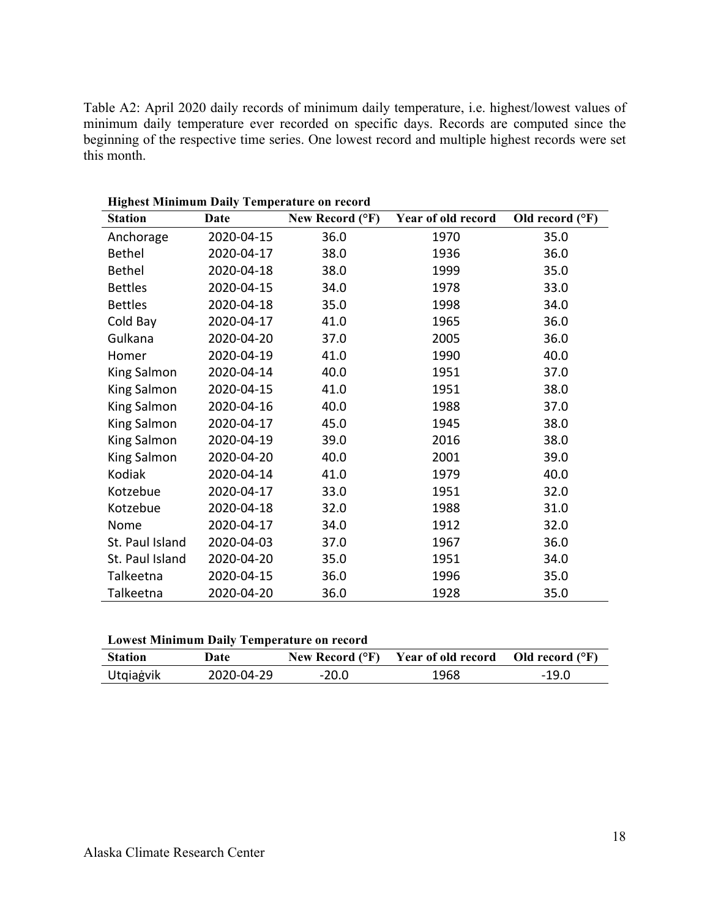Table A2: April 2020 daily records of minimum daily temperature, i.e. highest/lowest values of minimum daily temperature ever recorded on specific days. Records are computed since the beginning of the respective time series. One lowest record and multiple highest records were set this month.

| <b>Station</b>  | Date       | New Record (°F) | Year of old record | Old record $(^{\circ}F)$ |
|-----------------|------------|-----------------|--------------------|--------------------------|
| Anchorage       | 2020-04-15 | 36.0            | 1970               | 35.0                     |
| <b>Bethel</b>   | 2020-04-17 | 38.0            | 1936               | 36.0                     |
| <b>Bethel</b>   | 2020-04-18 | 38.0            | 1999               | 35.0                     |
| <b>Bettles</b>  | 2020-04-15 | 34.0            | 1978               | 33.0                     |
| <b>Bettles</b>  | 2020-04-18 | 35.0            | 1998               | 34.0                     |
| Cold Bay        | 2020-04-17 | 41.0            | 1965               | 36.0                     |
| Gulkana         | 2020-04-20 | 37.0            | 2005               | 36.0                     |
| Homer           | 2020-04-19 | 41.0            | 1990               | 40.0                     |
| King Salmon     | 2020-04-14 | 40.0            | 1951               | 37.0                     |
| King Salmon     | 2020-04-15 | 41.0            | 1951               | 38.0                     |
| King Salmon     | 2020-04-16 | 40.0            | 1988               | 37.0                     |
| King Salmon     | 2020-04-17 | 45.0            | 1945               | 38.0                     |
| King Salmon     | 2020-04-19 | 39.0            | 2016               | 38.0                     |
| King Salmon     | 2020-04-20 | 40.0            | 2001               | 39.0                     |
| Kodiak          | 2020-04-14 | 41.0            | 1979               | 40.0                     |
| Kotzebue        | 2020-04-17 | 33.0            | 1951               | 32.0                     |
| Kotzebue        | 2020-04-18 | 32.0            | 1988               | 31.0                     |
| Nome            | 2020-04-17 | 34.0            | 1912               | 32.0                     |
| St. Paul Island | 2020-04-03 | 37.0            | 1967               | 36.0                     |
| St. Paul Island | 2020-04-20 | 35.0            | 1951               | 34.0                     |
| Talkeetna       | 2020-04-15 | 36.0            | 1996               | 35.0                     |
| Talkeetna       | 2020-04-20 | 36.0            | 1928               | 35.0                     |

**Highest Minimum Daily Temperature on record**

|  |  | Lowest Minimum Daily Temperature on record |
|--|--|--------------------------------------------|
|--|--|--------------------------------------------|

| <b>Station</b> | Date       |         | New Record $({}^{\circ}F)$ Year of old record Old record $({}^{\circ}F)$ |         |
|----------------|------------|---------|--------------------------------------------------------------------------|---------|
| Utgiagvik      | 2020-04-29 | $-20.0$ | 1968                                                                     | $-19.0$ |